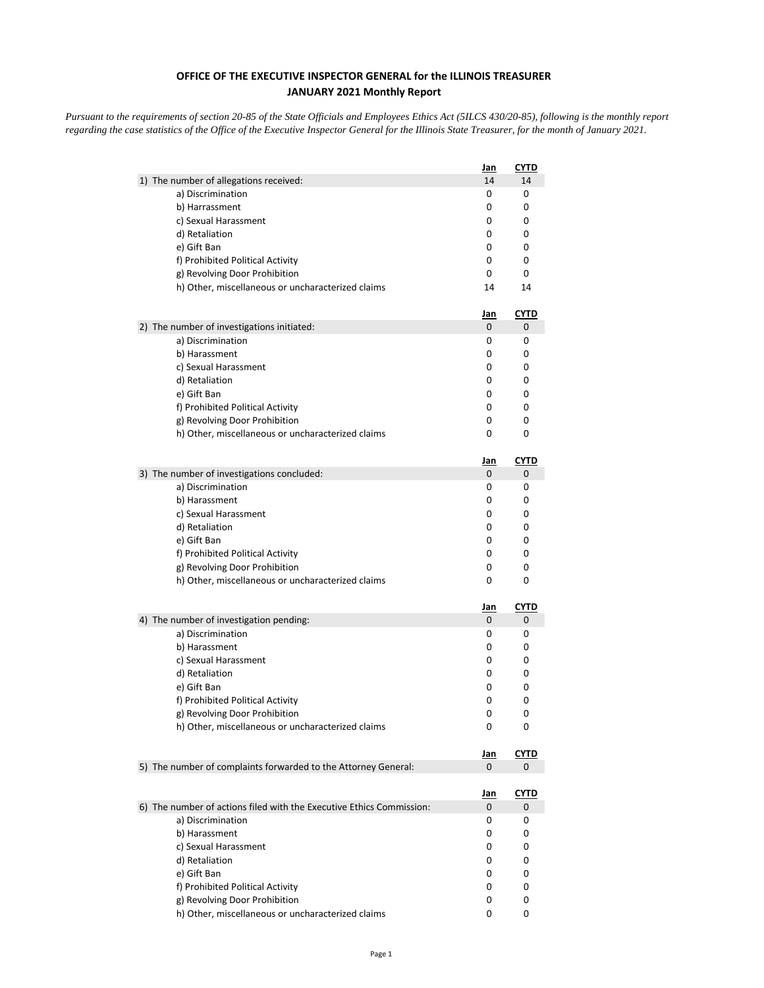## **OFFICE OF THE EXECUTIVE INSPECTOR GENERAL for the ILLINOIS TREASURER JANUARY 2021 Monthly Report**

*Pursuant to the requirements of section 20-85 of the State Officials and Employees Ethics Act (5ILCS 430/20-85), following is the monthly report regarding the case statistics of the Office of the Executive Inspector General for the Illinois State Treasurer, for the month of January 2021.* 

|                                                                      | <u>Jan</u> | <u>CYTD</u> |
|----------------------------------------------------------------------|------------|-------------|
| 1) The number of allegations received:                               | 14         | 14          |
| a) Discrimination                                                    | 0          | 0           |
| b) Harrassment                                                       | 0          | 0           |
| c) Sexual Harassment                                                 | 0          | 0           |
| d) Retaliation                                                       | 0          | 0           |
| e) Gift Ban                                                          | 0          | 0           |
| f) Prohibited Political Activity                                     | 0          | 0           |
| g) Revolving Door Prohibition                                        | 0          | 0           |
| h) Other, miscellaneous or uncharacterized claims                    | 14         | 14          |
|                                                                      | Jan        | <b>CYTD</b> |
| 2) The number of investigations initiated:                           | 0          | 0           |
| a) Discrimination                                                    | 0          | 0           |
| b) Harassment                                                        | 0          | 0           |
| c) Sexual Harassment                                                 | 0          | 0           |
| d) Retaliation                                                       | 0          | 0           |
| e) Gift Ban                                                          | 0          | 0           |
| f) Prohibited Political Activity                                     | 0          | 0           |
| g) Revolving Door Prohibition                                        | 0          | 0           |
| h) Other, miscellaneous or uncharacterized claims                    | 0          | 0           |
|                                                                      | <u>Jan</u> | <b>CYTD</b> |
| 3) The number of investigations concluded:                           | 0          | 0           |
| a) Discrimination                                                    | 0          | 0           |
| b) Harassment                                                        | 0          | 0           |
| c) Sexual Harassment                                                 | 0          | 0           |
| d) Retaliation                                                       | 0          | 0           |
| e) Gift Ban                                                          | 0          | 0           |
| f) Prohibited Political Activity                                     | 0          | 0           |
| g) Revolving Door Prohibition                                        | 0          | 0           |
| h) Other, miscellaneous or uncharacterized claims                    | 0          | 0           |
|                                                                      | <u>Jan</u> | <u>CYTD</u> |
| 4) The number of investigation pending:                              | 0          | 0           |
| a) Discrimination                                                    | 0          | 0           |
| b) Harassment                                                        | 0          | 0           |
| c) Sexual Harassment                                                 | 0          | 0           |
| d) Retaliation                                                       | 0          | 0           |
| e) Gift Ban                                                          | 0          | 0           |
| f) Prohibited Political Activity                                     | 0          | 0           |
| g) Revolving Door Prohibition                                        | 0          | 0           |
| h) Other, miscellaneous or uncharacterized claims                    | 0          | 0           |
|                                                                      | <u>Jan</u> | CYTD        |
| 5) The number of complaints forwarded to the Attorney General:       | 0          | 0           |
|                                                                      | <u>Jan</u> | <u>CYTD</u> |
| 6) The number of actions filed with the Executive Ethics Commission: | 0          | 0           |
| a) Discrimination                                                    | 0          | 0           |
| b) Harassment                                                        | 0          | 0           |
| c) Sexual Harassment                                                 | 0          | 0           |
| d) Retaliation                                                       | 0          | 0           |
| e) Gift Ban                                                          | 0          | 0           |
| f) Prohibited Political Activity                                     | 0          | 0           |
| g) Revolving Door Prohibition                                        | 0          | 0           |
| h) Other, miscellaneous or uncharacterized claims                    | 0          | 0           |